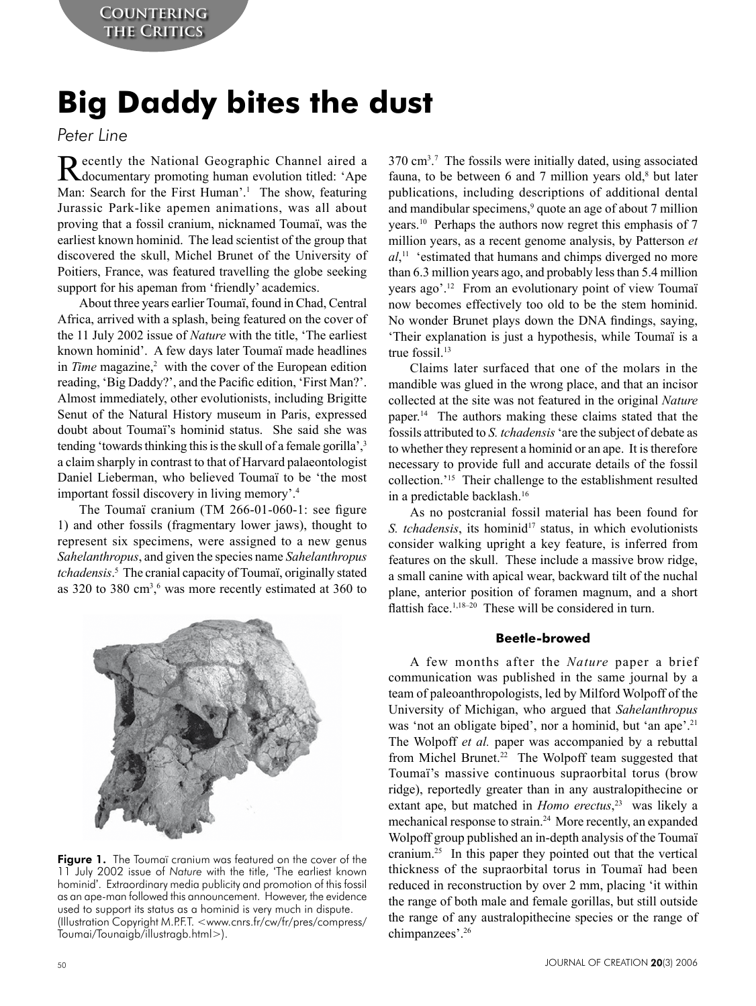# **Big Daddy bites the dust**

*Peter Line*

Recently the National Geographic Channel aired a documentary promoting human evolution titled: 'Ape Man: Search for the First Human'.<sup>1</sup> The show, featuring Jurassic Park-like apemen animations, was all about proving that a fossil cranium, nicknamed Toumaï, was the earliest known hominid. The lead scientist of the group that discovered the skull, Michel Brunet of the University of Poitiers, France, was featured travelling the globe seeking support for his apeman from 'friendly' academics.

About three years earlier Toumaï, found in Chad, Central Africa, arrived with a splash, being featured on the cover of the 11 July 2002 issue of *Nature* with the title, 'The earliest known hominid'. A few days later Toumaï made headlines in *Time* magazine,<sup>2</sup> with the cover of the European edition reading, 'Big Daddy?', and the Pacific edition, 'First Man?'. Almost immediately, other evolutionists, including Brigitte Senut of the Natural History museum in Paris, expressed doubt about Toumaï's hominid status. She said she was tending 'towards thinking this is the skull of a female gorilla',<sup>3</sup> a claim sharply in contrast to that of Harvard palaeontologist Daniel Lieberman, who believed Toumaï to be 'the most important fossil discovery in living memory'.4

The Toumaï cranium (TM 266-01-060-1: see figure 1) and other fossils (fragmentary lower jaws), thought to represent six specimens, were assigned to a new genus *Sahelanthropus*, and given the species name *Sahelanthropus tchadensis*. 5 The cranial capacity of Toumaï, originally stated as 320 to 380  $\text{cm}^3$ ,  $\text{o}$  was more recently estimated at 360 to



Figure 1. The Toumaï cranium was featured on the cover of the 11 July 2002 issue of *Nature* with the title, 'The earliest known hominid'. Extraordinary media publicity and promotion of this fossil as an ape-man followed this announcement. However, the evidence used to support its status as a hominid is very much in dispute. (Illustration Copyright M.P.F.T. <www.cnrs.fr/cw/fr/pres/compress/ Toumai/Tounaigb/illustragb.html>).

370 cm3 . 7 The fossils were initially dated, using associated fauna, to be between 6 and 7 million years old, $8$  but later publications, including descriptions of additional dental and mandibular specimens,<sup>9</sup> quote an age of about 7 million years.10 Perhaps the authors now regret this emphasis of 7 million years, as a recent genome analysis, by Patterson *et al*, 11 'estimated that humans and chimps diverged no more than 6.3 million years ago, and probably less than 5.4 million years ago'.12 From an evolutionary point of view Toumaï now becomes effectively too old to be the stem hominid. No wonder Brunet plays down the DNA findings, saying, 'Their explanation is just a hypothesis, while Toumaï is a true fossi $1^{13}$ 

Claims later surfaced that one of the molars in the mandible was glued in the wrong place, and that an incisor collected at the site was not featured in the original *Nature* paper.14 The authors making these claims stated that the fossils attributed to *S. tchadensis* 'are the subject of debate as to whether they represent a hominid or an ape. It is therefore necessary to provide full and accurate details of the fossil collection.'15 Their challenge to the establishment resulted in a predictable backlash.16

As no postcranial fossil material has been found for *S. tchadensis*, its hominid<sup>17</sup> status, in which evolutionists consider walking upright a key feature, is inferred from features on the skull. These include a massive brow ridge, a small canine with apical wear, backward tilt of the nuchal plane, anterior position of foramen magnum, and a short flattish face.<sup>1,18–20</sup> These will be considered in turn.

## **Beetle-browed**

A few months after the *Nature* paper a brief communication was published in the same journal by a team of paleoanthropologists, led by Milford Wolpoff of the University of Michigan, who argued that *Sahelanthropus* was 'not an obligate biped', nor a hominid, but 'an ape'.<sup>21</sup> The Wolpoff *et al.* paper was accompanied by a rebuttal from Michel Brunet.22 The Wolpoff team suggested that Toumaï's massive continuous supraorbital torus (brow ridge), reportedly greater than in any australopithecine or extant ape, but matched in *Homo erectus*, 23 was likely a mechanical response to strain.24 More recently, an expanded Wolpoff group published an in-depth analysis of the Toumaï cranium.25 In this paper they pointed out that the vertical thickness of the supraorbital torus in Toumaï had been reduced in reconstruction by over 2 mm, placing 'it within the range of both male and female gorillas, but still outside the range of any australopithecine species or the range of chimpanzees'.26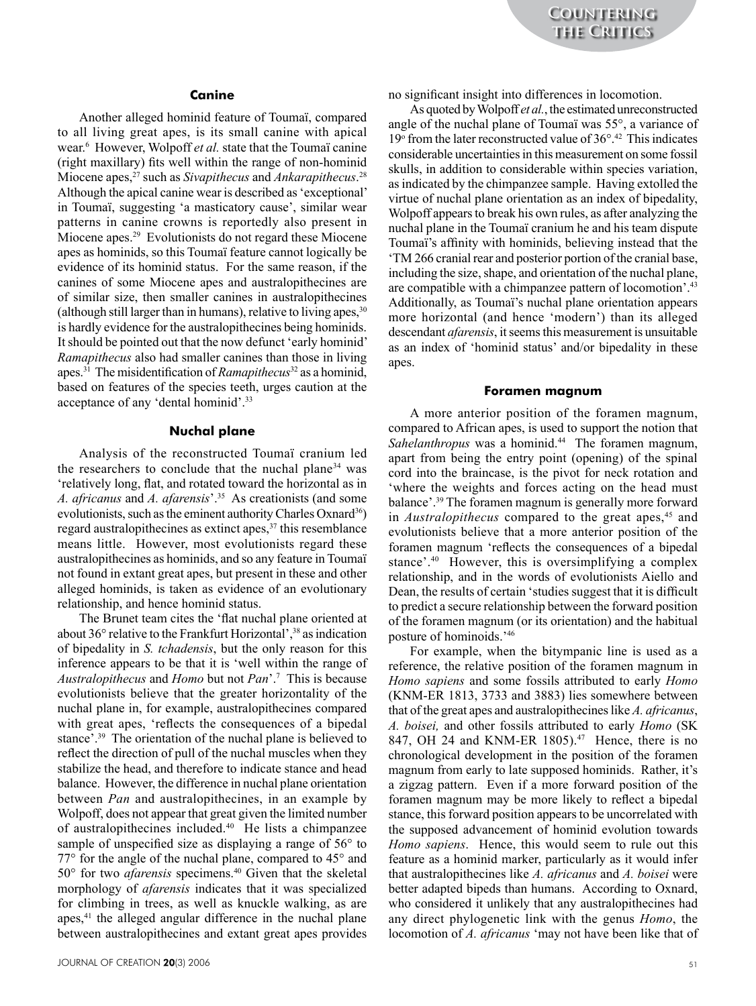## **Canine**

Another alleged hominid feature of Toumaï, compared to all living great apes, is its small canine with apical wear.6 However, Wolpoff *et al.* state that the Toumaï canine (right maxillary) fits well within the range of non-hominid Miocene apes,27 such as *Sivapithecus* and *Ankarapithecus*. 28 Although the apical canine wear is described as 'exceptional' in Toumaï, suggesting 'a masticatory cause', similar wear patterns in canine crowns is reportedly also present in Miocene apes.<sup>29</sup> Evolutionists do not regard these Miocene apes as hominids, so this Toumaï feature cannot logically be evidence of its hominid status. For the same reason, if the canines of some Miocene apes and australopithecines are of similar size, then smaller canines in australopithecines (although still larger than in humans), relative to living apes,  $30$ is hardly evidence for the australopithecines being hominids. It should be pointed out that the now defunct 'early hominid' *Ramapithecus* also had smaller canines than those in living apes.31 The misidentification of *Ramapithecus*32 as a hominid, based on features of the species teeth, urges caution at the acceptance of any 'dental hominid'.33

### **Nuchal plane**

Analysis of the reconstructed Toumaï cranium led the researchers to conclude that the nuchal plane<sup>34</sup> was 'relatively long, flat, and rotated toward the horizontal as in *A. africanus* and *A. afarensis*'.35 As creationists (and some evolutionists, such as the eminent authority Charles Oxnard<sup>36</sup>) regard australopithecines as extinct apes,<sup>37</sup> this resemblance means little. However, most evolutionists regard these australopithecines as hominids, and so any feature in Toumaï not found in extant great apes, but present in these and other alleged hominids, is taken as evidence of an evolutionary relationship, and hence hominid status.

The Brunet team cites the 'flat nuchal plane oriented at about 36° relative to the Frankfurt Horizontal',<sup>38</sup> as indication of bipedality in *S. tchadensis*, but the only reason for this inference appears to be that it is 'well within the range of *Australopithecus* and *Homo* but not *Pan*'.7 This is because evolutionists believe that the greater horizontality of the nuchal plane in, for example, australopithecines compared with great apes, 'reflects the consequences of a bipedal stance'.<sup>39</sup> The orientation of the nuchal plane is believed to reflect the direction of pull of the nuchal muscles when they stabilize the head, and therefore to indicate stance and head balance. However, the difference in nuchal plane orientation between *Pan* and australopithecines, in an example by Wolpoff, does not appear that great given the limited number of australopithecines included.40 He lists a chimpanzee sample of unspecified size as displaying a range of 56° to 77° for the angle of the nuchal plane, compared to 45° and 50° for two *afarensis* specimens.40 Given that the skeletal morphology of *afarensis* indicates that it was specialized for climbing in trees, as well as knuckle walking, as are apes,<sup>41</sup> the alleged angular difference in the nuchal plane between australopithecines and extant great apes provides

no significant insight into differences in locomotion.

As quoted by Wolpoff *et al.*, the estimated unreconstructed angle of the nuchal plane of Toumaï was 55°, a variance of 19° from the later reconstructed value of 36°.<sup>42</sup> This indicates considerable uncertainties in this measurement on some fossil skulls, in addition to considerable within species variation, as indicated by the chimpanzee sample. Having extolled the virtue of nuchal plane orientation as an index of bipedality, Wolpoff appears to break his own rules, as after analyzing the nuchal plane in the Toumaï cranium he and his team dispute Toumaï's affinity with hominids, believing instead that the 'TM 266 cranial rear and posterior portion of the cranial base, including the size, shape, and orientation of the nuchal plane, are compatible with a chimpanzee pattern of locomotion'.43 Additionally, as Toumaï's nuchal plane orientation appears more horizontal (and hence 'modern') than its alleged descendant *afarensis*, it seems this measurement is unsuitable as an index of 'hominid status' and/or bipedality in these apes.

#### **Foramen magnum**

A more anterior position of the foramen magnum, compared to African apes, is used to support the notion that *Sahelanthropus* was a hominid.44 The foramen magnum, apart from being the entry point (opening) of the spinal cord into the braincase, is the pivot for neck rotation and 'where the weights and forces acting on the head must balance'.39 The foramen magnum is generally more forward in *Australopithecus* compared to the great apes,<sup>45</sup> and evolutionists believe that a more anterior position of the foramen magnum 'reflects the consequences of a bipedal stance'.40 However, this is oversimplifying a complex relationship, and in the words of evolutionists Aiello and Dean, the results of certain 'studies suggest that it is difficult to predict a secure relationship between the forward position of the foramen magnum (or its orientation) and the habitual posture of hominoids.'46

For example, when the bitympanic line is used as a reference, the relative position of the foramen magnum in *Homo sapiens* and some fossils attributed to early *Homo* (KNM-ER 1813, 3733 and 3883) lies somewhere between that of the great apes and australopithecines like *A. africanus*, *A. boisei,* and other fossils attributed to early *Homo* (SK 847, OH 24 and KNM-ER 1805).<sup>47</sup> Hence, there is no chronological development in the position of the foramen magnum from early to late supposed hominids. Rather, it's a zigzag pattern. Even if a more forward position of the foramen magnum may be more likely to reflect a bipedal stance, this forward position appears to be uncorrelated with the supposed advancement of hominid evolution towards *Homo sapiens*. Hence, this would seem to rule out this feature as a hominid marker, particularly as it would infer that australopithecines like *A. africanus* and *A. boisei* were better adapted bipeds than humans. According to Oxnard, who considered it unlikely that any australopithecines had any direct phylogenetic link with the genus *Homo*, the locomotion of *A. africanus* 'may not have been like that of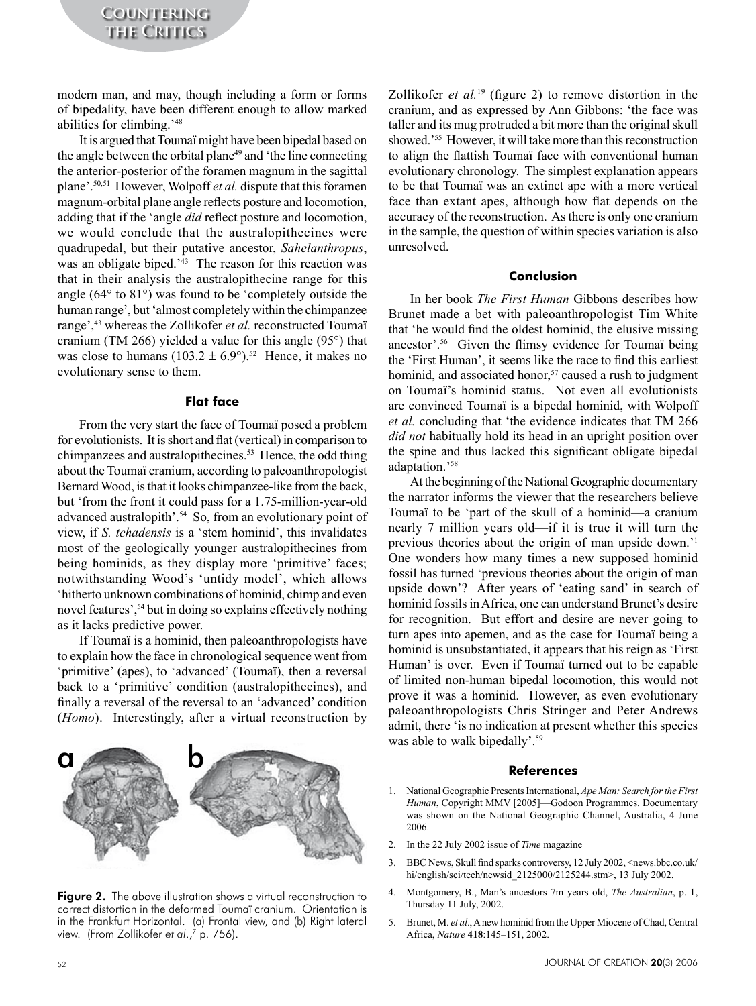modern man, and may, though including a form or forms of bipedality, have been different enough to allow marked abilities for climbing.'48

It is argued that Toumaï might have been bipedal based on the angle between the orbital plane<sup>49</sup> and 'the line connecting the anterior-posterior of the foramen magnum in the sagittal plane'.50,51 However, Wolpoff *et al.* dispute that this foramen magnum-orbital plane angle reflects posture and locomotion, adding that if the 'angle *did* reflect posture and locomotion, we would conclude that the australopithecines were quadrupedal, but their putative ancestor, *Sahelanthropus*, was an obligate biped.<sup>'43</sup> The reason for this reaction was that in their analysis the australopithecine range for this angle (64° to 81°) was found to be 'completely outside the human range', but 'almost completely within the chimpanzee range',<sup>43</sup> whereas the Zollikofer *et al.* reconstructed Toumaï cranium (TM 266) yielded a value for this angle (95°) that was close to humans  $(103.2 \pm 6.9^{\circ})^{52}$  Hence, it makes no evolutionary sense to them.

## **Flat face**

From the very start the face of Toumaï posed a problem for evolutionists. It is short and flat (vertical) in comparison to chimpanzees and australopithecines.53 Hence, the odd thing about the Toumaï cranium, according to paleoanthropologist Bernard Wood, is that it looks chimpanzee-like from the back, but 'from the front it could pass for a 1.75-million-year-old advanced australopith'.<sup>54</sup> So, from an evolutionary point of view, if *S. tchadensis* is a 'stem hominid', this invalidates most of the geologically younger australopithecines from being hominids, as they display more 'primitive' faces; notwithstanding Wood's 'untidy model', which allows 'hitherto unknown combinations of hominid, chimp and even novel features',<sup>54</sup> but in doing so explains effectively nothing as it lacks predictive power.

If Toumaï is a hominid, then paleoanthropologists have to explain how the face in chronological sequence went from 'primitive' (apes), to 'advanced' (Toumaï), then a reversal back to a 'primitive' condition (australopithecines), and finally a reversal of the reversal to an 'advanced' condition (*Homo*). Interestingly, after a virtual reconstruction by



Figure 2. The above illustration shows a virtual reconstruction to correct distortion in the deformed Toumaï cranium. Orientation is in the Frankfurt Horizontal. (a) Frontal view, and (b) Right lateral view. (From Zollikofer *et al.*,<sup>7</sup> p. 756).

Zollikofer *et al.*<sup>19</sup> (figure 2) to remove distortion in the cranium, and as expressed by Ann Gibbons: 'the face was taller and its mug protruded a bit more than the original skull showed.'55 However, it will take more than this reconstruction to align the flattish Toumaï face with conventional human evolutionary chronology. The simplest explanation appears to be that Toumaï was an extinct ape with a more vertical face than extant apes, although how flat depends on the accuracy of the reconstruction. As there is only one cranium in the sample, the question of within species variation is also unresolved.

## **Conclusion**

In her book *The First Human* Gibbons describes how Brunet made a bet with paleoanthropologist Tim White that 'he would find the oldest hominid, the elusive missing ancestor'.56 Given the flimsy evidence for Toumaï being the 'First Human', it seems like the race to find this earliest hominid, and associated honor,<sup>57</sup> caused a rush to judgment on Toumaï's hominid status. Not even all evolutionists are convinced Toumaï is a bipedal hominid, with Wolpoff *et al.* concluding that 'the evidence indicates that TM 266 *did not* habitually hold its head in an upright position over the spine and thus lacked this significant obligate bipedal adaptation.'58

At the beginning of the National Geographic documentary the narrator informs the viewer that the researchers believe Toumaï to be 'part of the skull of a hominid—a cranium nearly 7 million years old—if it is true it will turn the previous theories about the origin of man upside down.'1 One wonders how many times a new supposed hominid fossil has turned 'previous theories about the origin of man upside down'? After years of 'eating sand' in search of hominid fossils in Africa, one can understand Brunet's desire for recognition. But effort and desire are never going to turn apes into apemen, and as the case for Toumaï being a hominid is unsubstantiated, it appears that his reign as 'First Human' is over. Even if Toumaï turned out to be capable of limited non-human bipedal locomotion, this would not prove it was a hominid. However, as even evolutionary paleoanthropologists Chris Stringer and Peter Andrews admit, there 'is no indication at present whether this species was able to walk bipedally'.<sup>59</sup>

#### **References**

- 1. National Geographic Presents International, *Ape Man: Search for the First Human*, Copyright MMV [2005]—Godoon Programmes. Documentary was shown on the National Geographic Channel, Australia, 4 June 2006.
- 2. In the 22 July 2002 issue of *Time* magazine
- 3. BBC News, Skull find sparks controversy, 12 July 2002, <news.bbc.co.uk/ hi/english/sci/tech/newsid\_2125000/2125244.stm>, 13 July 2002.
- 4. Montgomery, B., Man's ancestors 7m years old, *The Australian*, p. 1, Thursday 11 July, 2002.
- 5. Brunet, M. *et al*., A new hominid from the Upper Miocene of Chad, Central Africa, *Nature* **418**:145–151, 2002.